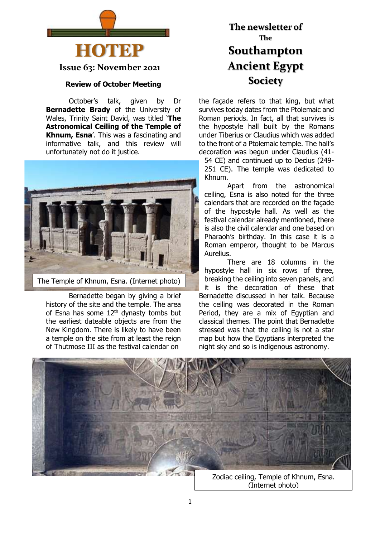

**Issue 63: November 2021**

#### **Review of October Meeting**

October's talk, given by Dr **Bernadette Brady** of the University of Wales, Trinity Saint David, was titled '**The Astronomical Ceiling of the Temple of Khnum, Esna**'. This was a fascinating and informative talk, and this review will unfortunately not do it justice.



Bernadette began by giving a brief history of the site and the temple. The area of Esna has some  $12<sup>th</sup>$  dynasty tombs but the earliest dateable objects are from the New Kingdom. There is likely to have been a temple on the site from at least the reign of Thutmose III as the festival calendar on

# **The newsletter of The Southampton Ancient Egypt Society**

the façade refers to that king, but what survives today dates from the Ptolemaic and Roman periods. In fact, all that survives is the hypostyle hall built by the Romans under Tiberius or Claudius which was added to the front of a Ptolemaic temple. The hall's decoration was begun under Claudius (41- 54 CE) and continued up to Decius (249-

251 CE). The temple was dedicated to Khnum.

Apart from the astronomical ceiling, Esna is also noted for the three calendars that are recorded on the façade of the hypostyle hall. As well as the festival calendar already mentioned, there is also the civil calendar and one based on Pharaoh's birthday. In this case it is a Roman emperor, thought to be Marcus Aurelius.

There are 18 columns in the hypostyle hall in six rows of three, breaking the ceiling into seven panels, and it is the decoration of these that Bernadette discussed in her talk. Because the ceiling was decorated in the Roman Period, they are a mix of Egyptian and classical themes. The point that Bernadette stressed was that the ceiling is not a star map but how the Egyptians interpreted the night sky and so is indigenous astronomy.



(Internet photo)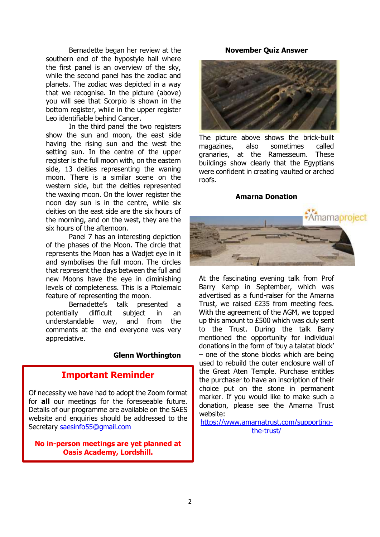Bernadette began her review at the southern end of the hypostyle hall where the first panel is an overview of the sky, while the second panel has the zodiac and planets. The zodiac was depicted in a way that we recognise. In the picture (above) you will see that Scorpio is shown in the bottom register, while in the upper register Leo identifiable behind Cancer.

In the third panel the two registers show the sun and moon, the east side having the rising sun and the west the setting sun. In the centre of the upper register is the full moon with, on the eastern side, 13 deities representing the waning moon. There is a similar scene on the western side, but the deities represented the waxing moon. On the lower register the noon day sun is in the centre, while six deities on the east side are the six hours of the morning, and on the west, they are the six hours of the afternoon.

Panel 7 has an interesting depiction of the phases of the Moon. The circle that represents the Moon has a Wadjet eye in it and symbolises the full moon. The circles that represent the days between the full and new Moons have the eye in diminishing levels of completeness. This is a Ptolemaic feature of representing the moon.

Bernadette's talk presented a potentially difficult subject in an understandable way, and from the comments at the end everyone was very appreciative.

#### **Glenn Worthington**

### **Important Reminder**

Of necessity we have had to adopt the Zoom format for **all** our meetings for the foreseeable future. Details of our programme are available on the SAES website and enquiries should be addressed to the Secretary [saesinfo55@gmail.com](mailto:saesinfo55@gmail.com)

**No in-person meetings are yet planned at Oasis Academy, Lordshill.**

#### **November Quiz Answer**



The picture above shows the brick-built magazines, also sometimes called granaries, at the Ramesseum. These buildings show clearly that the Egyptians were confident in creating vaulted or arched roofs.

#### **Amarna Donation**



At the fascinating evening talk from Prof Barry Kemp in September, which was advertised as a fund-raiser for the Amarna Trust, we raised £235 from meeting fees. With the agreement of the AGM, we topped up this amount to £500 which was duly sent to the Trust. During the talk Barry mentioned the opportunity for individual donations in the form of 'buy a talatat block' – one of the stone blocks which are being used to rebuild the outer enclosure wall of the Great Aten Temple. Purchase entitles the purchaser to have an inscription of their choice put on the stone in permanent marker. If you would like to make such a donation, please see the Amarna Trust website:

[https://www.amarnatrust.com/supporting](https://www.amarnatrust.com/supporting-the-trust/)[the-trust/](https://www.amarnatrust.com/supporting-the-trust/)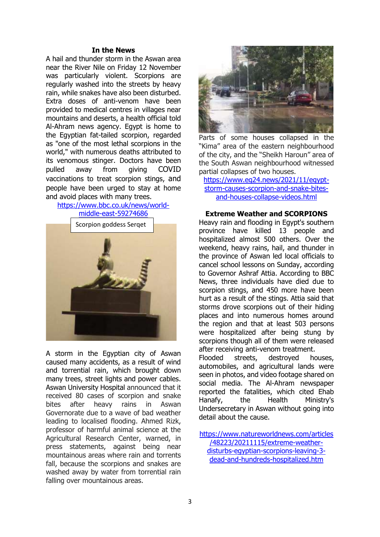#### **In the News**

A hail and thunder storm in the Aswan area near the River Nile on Friday 12 November was particularly violent. Scorpions are regularly washed into the streets by heavy rain, while snakes have also been disturbed. Extra doses of anti-venom have been provided to medical centres in villages near mountains and deserts, a health official told Al-Ahram news agency. Egypt is home to the Egyptian fat-tailed scorpion, regarded as "one of the most lethal scorpions in the world," with numerous deaths attributed to its venomous stinger. Doctors have been pulled away from giving COVID vaccinations to treat scorpion stings, and people have been urged to stay at home and avoid places with many trees.

### [https://www.bbc.co.uk/news/world-](https://www.bbc.co.uk/news/world-middle-east-59274686)



A storm in the Egyptian city of Aswan caused many accidents, as a result of wind and torrential rain, which brought down many trees, street lights and power cables. Aswan University Hospital announced that it received 80 cases of scorpion and snake bites after heavy rains in Aswan Governorate due to a wave of bad weather leading to localised flooding. Ahmed Rizk, professor of harmful animal science at the Agricultural Research Center, warned, in press statements, against being near mountainous areas where rain and torrents fall, because the scorpions and snakes are washed away by water from torrential rain falling over mountainous areas.



Parts of some houses collapsed in the "Kima" area of the eastern neighbourhood of the city, and the "Sheikh Haroun" area of the South Aswan neighbourhood witnessed partial collapses of two houses.

[https://www.eg24.news/2021/11/egypt](https://www.eg24.news/2021/11/egypt-storm-causes-scorpion-and-snake-bites-and-houses-collapse-videos.html)[storm-causes-scorpion-and-snake-bites](https://www.eg24.news/2021/11/egypt-storm-causes-scorpion-and-snake-bites-and-houses-collapse-videos.html)[and-houses-collapse-videos.html](https://www.eg24.news/2021/11/egypt-storm-causes-scorpion-and-snake-bites-and-houses-collapse-videos.html)

#### **Extreme Weather and SCORPIONS**

Heavy rain and flooding in Egypt's southern province have killed 13 people and hospitalized almost 500 others. Over the weekend, heavy rains, hail, and thunder in the province of Aswan led local officials to cancel school lessons on Sunday, according to Governor Ashraf Attia. According to BBC News, three individuals have died due to scorpion stings, and 450 more have been hurt as a result of the stings. Attia said that storms drove scorpions out of their hiding places and into numerous homes around the region and that at least 503 persons were hospitalized after being stung by scorpions though all of them were released after receiving anti-venom treatment.

Flooded streets, destroyed houses, automobiles, and agricultural lands were seen in photos, and video footage shared on social media. The Al-Ahram newspaper reported the fatalities, which cited Ehab Hanafy, the Health Ministry's Undersecretary in Aswan without going into detail about the cause.

[https://www.natureworldnews.com/articles](https://www.natureworldnews.com/articles/48223/20211115/extreme-weather-disturbs-egyptian-scorpions-leaving-3-dead-and-hundreds-hospitalized.htm) [/48223/20211115/extreme-weather](https://www.natureworldnews.com/articles/48223/20211115/extreme-weather-disturbs-egyptian-scorpions-leaving-3-dead-and-hundreds-hospitalized.htm)[disturbs-egyptian-scorpions-leaving-3](https://www.natureworldnews.com/articles/48223/20211115/extreme-weather-disturbs-egyptian-scorpions-leaving-3-dead-and-hundreds-hospitalized.htm) [dead-and-hundreds-hospitalized.htm](https://www.natureworldnews.com/articles/48223/20211115/extreme-weather-disturbs-egyptian-scorpions-leaving-3-dead-and-hundreds-hospitalized.htm)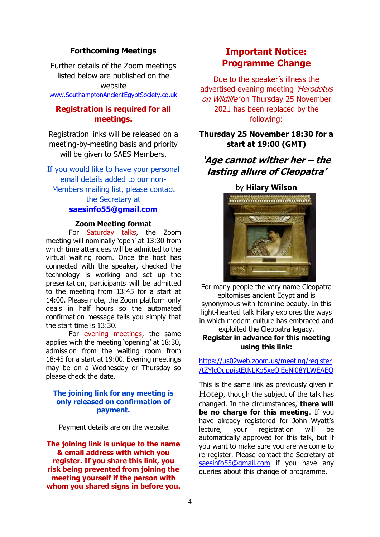#### **Forthcoming Meetings**

Further details of the Zoom meetings listed below are published on the website [www.SouthamptonAncientEgyptSociety.co.uk](http://www.southamptonancientegyptsociety.co.uk/)

### **Registration is required for all meetings.**

Registration links will be released on a meeting-by-meeting basis and priority will be given to SAES Members.

If you would like to have your personal email details added to our non-Members mailing list, please contact the Secretary at **[saesinfo55@gmail.com](mailto:saesinfo55@gmail.com)**

#### **Zoom Meeting format**

For Saturday talks, the Zoom meeting will nominally 'open' at 13:30 from which time attendees will be admitted to the virtual waiting room. Once the host has connected with the speaker, checked the technology is working and set up the presentation, participants will be admitted to the meeting from 13:45 for a start at 14:00. Please note, the Zoom platform only deals in half hours so the automated confirmation message tells you simply that the start time is 13:30.

For evening meetings, the same applies with the meeting 'opening' at 18:30, admission from the waiting room from 18:45 for a start at 19:00. Evening meetings may be on a Wednesday or Thursday so please check the date.

#### **The joining link for any meeting is only released on confirmation of payment.**

Payment details are on the website.

**The joining link is unique to the name & email address with which you register. If you share this link, you risk being prevented from joining the meeting yourself if the person with whom you shared signs in before you.**

### **Important Notice: Programme Change**

Due to the speaker's illness the advertised evening meeting 'Herodotus' on Wildlife' on Thursday 25 November 2021 has been replaced by the following:

### **Thursday 25 November 18:30 for a start at 19:00 (GMT)**

### **'Age cannot wither her – the lasting allure of Cleopatra'**

#### by **Hilary Wilson**



For many people the very name Cleopatra epitomises ancient Egypt and is synonymous with feminine beauty. In this light-hearted talk Hilary explores the ways in which modern culture has embraced and exploited the Cleopatra legacy. **Register in advance for this meeting**

### **using this link:** [https://us02web.zoom.us/meeting/register](https://us02web.zoom.us/meeting/register/tZYlcOuppjstEtNLKo5xeOiEeNi08YLWEAEQ)

[/tZYlcOuppjstEtNLKo5xeOiEeNi08YLWEAEQ](https://us02web.zoom.us/meeting/register/tZYlcOuppjstEtNLKo5xeOiEeNi08YLWEAEQ)

This is the same link as previously given in Hotep, though the subject of the talk has changed. In the circumstances, **there will be no charge for this meeting**. If you have already registered for John Wyatt's lecture, your registration will be automatically approved for this talk, but if you want to make sure you are welcome to re-register. Please contact the Secretary at [saesinfo55@gmail.com](mailto:saesinfo55@gmail.com) if you have any queries about this change of programme.